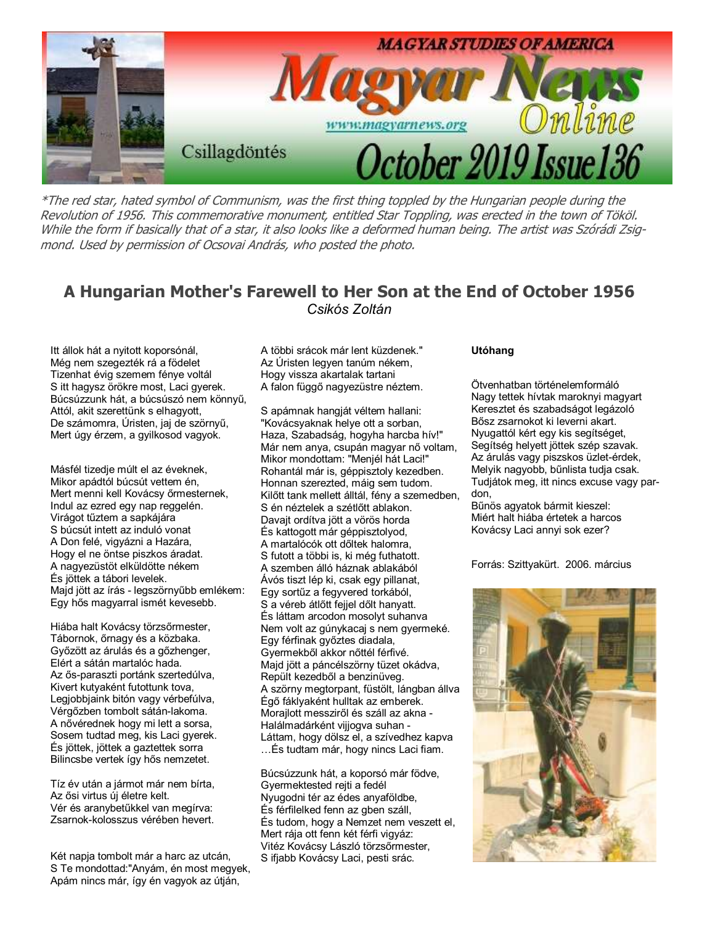

\*The red star, hated symbol of Communism, was the first thing toppled by the Hungarian people during the Revolution of 1956. This commemorative monument, entitled Star Toppling, was erected in the town of Tököl. While the form if basically that of a star, it also looks like a deformed human being. The artist was Szórádi Zsigmond. Used by permission of Ocsovai András, who posted the photo.

#### A Hungarian Mother's Farewell to Her Son at the End of October 1956 Csikós Zoltán

Itt állok hát a nyitott koporsónál, Még nem szegezték rá a födelet Tizenhat évig szemem fénye voltál S itt hagysz örökre most, Laci gyerek. Búcsúzzunk hát, a búcsúszó nem könnyő, Attól, akit szerettünk s elhagyott, De számomra, Úristen, jaj de szörnyő, Mert úgy érzem, a gyilkosod vagyok.

Másfél tizedje múlt el az éveknek, Mikor apádtól búcsút vettem én, Mert menni kell Kovácsy őrmesternek, Indul az ezred egy nap reggelén. Virágot tőztem a sapkájára S búcsút intett az induló vonat A Don felé, vigyázni a Hazára, Hogy el ne öntse piszkos áradat. A nagyezüstöt elküldötte nékem És jöttek a tábori levelek. Majd jött az írás - legszörnyőbb emlékem: Egy hős magyarral ismét kevesebb.

Hiába halt Kovácsy törzsőrmester, Tábornok, őrnagy és a közbaka. Győzött az árulás és a gőzhenger, Elért a sátán martalóc hada. Az ős-paraszti portánk szertedúlva, Kivert kutyaként futottunk tova, Legjobbjaink bitón vagy vérbefúlva, Vérgőzben tombolt sátán-lakoma. A nővérednek hogy mi lett a sorsa, Sosem tudtad meg, kis Laci gyerek. És jöttek, jöttek a gaztettek sorra Bilincsbe vertek így hős nemzetet.

Tíz év után a jármot már nem bírta, Az ősi virtus új életre kelt. Vér és aranybetőkkel van megírva: Zsarnok-kolosszus vérében hevert.

Két napja tombolt már a harc az utcán, S Te mondottad:"Anyám, én most megyek, Apám nincs már, így én vagyok az útján,

A többi srácok már lent küzdenek." Az Úristen legyen tanúm nékem, Hogy vissza akartalak tartani A falon függő nagyezüstre néztem.

S apámnak hangját véltem hallani: "Kovácsyaknak helye ott a sorban, Haza, Szabadság, hogyha harcba hív!" Már nem anya, csupán magyar nő voltam, Mikor mondottam: "Menjél hát Laci!" Rohantál már is, géppisztoly kezedben. Honnan szerezted, máig sem tudom. Kilőtt tank mellett álltál, fény a szemedben, S én néztelek a szétlőtt ablakon. Davajt ordítva jött a vörös horda És kattogott már géppisztolyod, A martalócók ott dőltek halomra, S futott a többi is, ki még futhatott. A szemben álló háznak ablakából Ávós tiszt lép ki, csak egy pillanat, Egy sortőz a fegyvered torkából, S a véreb átlőtt fejjel dőlt hanyatt. És láttam arcodon mosolyt suhanva Nem volt az gúnykacaj s nem gyermeké. Egy férfinak győztes diadala, Gyermekből akkor nőttél férfivé. Majd jött a páncélszörny tüzet okádva, Repült kezedből a benzinüveg. A szörny megtorpant, füstölt, lángban állva Égő fáklyaként hulltak az emberek. Morajlott messziről és száll az akna -Halálmadárként vijjogva suhan - Láttam, hogy dölsz el, a szívedhez kapva …És tudtam már, hogy nincs Laci fiam.

Búcsúzzunk hát, a koporsó már födve, Gyermektested rejti a fedél Nyugodni tér az édes anyaföldbe, És férfilelked fenn az gben száll, És tudom, hogy a Nemzet nem veszett el, Mert rája ott fenn két férfi vigyáz: Vitéz Kovácsy László törzsőrmester, S ifjabb Kovácsy Laci, pesti srác.

#### Utóhang

Ötvenhatban történelemformáló Nagy tettek hívtak maroknyi magyart Keresztet és szabadságot legázoló Bősz zsarnokot ki leverni akart. Nyugattól kért egy kis segítséget, Segítség helyett jöttek szép szavak. Az árulás vagy piszskos üzlet-érdek, Melyik nagyobb, bőnlista tudja csak. Tudjátok meg, itt nincs excuse vagy pardon,

Bőnös agyatok bármit kieszel: Miért halt hiába értetek a harcos Kovácsy Laci annyi sok ezer?

Forrás: Szittyakürt. 2006. március

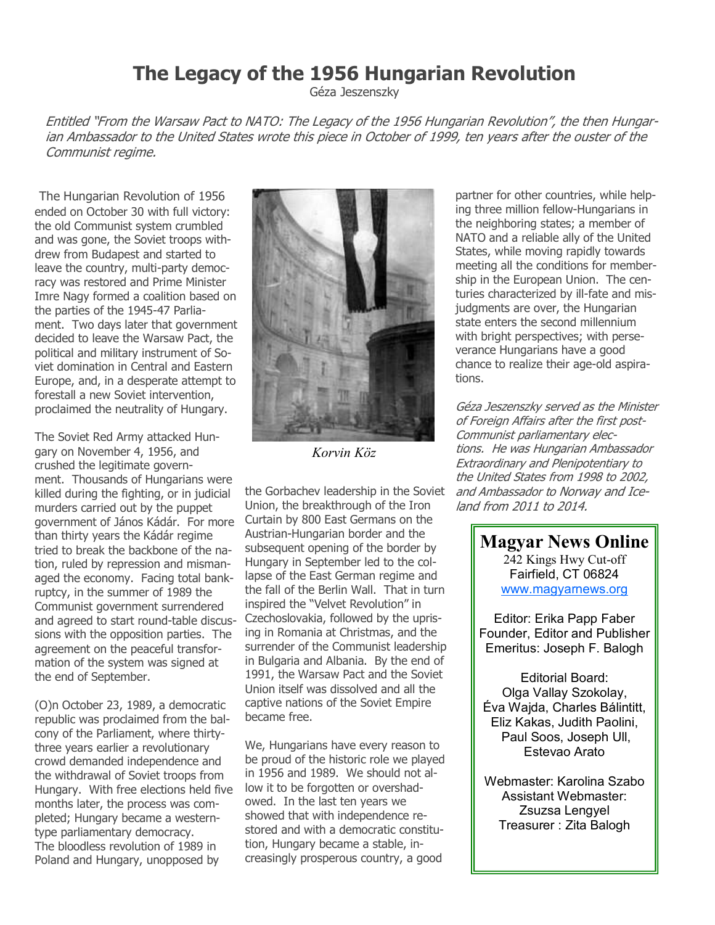## The Legacy of the 1956 Hungarian Revolution

Géza Jeszenszky

Entitled "From the Warsaw Pact to NATO: The Legacy of the 1956 Hungarian Revolution", the then Hungarian Ambassador to the United States wrote this piece in October of 1999, ten years after the ouster of the Communist regime.

The Hungarian Revolution of 1956 ended on October 30 with full victory: the old Communist system crumbled and was gone, the Soviet troops withdrew from Budapest and started to leave the country, multi-party democracy was restored and Prime Minister Imre Nagy formed a coalition based on the parties of the 1945-47 Parliament. Two days later that government decided to leave the Warsaw Pact, the political and military instrument of Soviet domination in Central and Eastern Europe, and, in a desperate attempt to forestall a new Soviet intervention, proclaimed the neutrality of Hungary.

The Soviet Red Army attacked Hungary on November 4, 1956, and crushed the legitimate government. Thousands of Hungarians were killed during the fighting, or in judicial murders carried out by the puppet government of János Kádár. For more than thirty years the Kádár regime tried to break the backbone of the nation, ruled by repression and mismanaged the economy. Facing total bankruptcy, in the summer of 1989 the Communist government surrendered and agreed to start round-table discussions with the opposition parties. The agreement on the peaceful transformation of the system was signed at the end of September.

(O)n October 23, 1989, a democratic republic was proclaimed from the balcony of the Parliament, where thirtythree years earlier a revolutionary crowd demanded independence and the withdrawal of Soviet troops from Hungary. With free elections held five months later, the process was completed; Hungary became a westerntype parliamentary democracy. The bloodless revolution of 1989 in Poland and Hungary, unopposed by



Korvin Köz

the Gorbachev leadership in the Soviet Union, the breakthrough of the Iron Curtain by 800 East Germans on the Austrian-Hungarian border and the subsequent opening of the border by Hungary in September led to the collapse of the East German regime and the fall of the Berlin Wall. That in turn inspired the "Velvet Revolution" in Czechoslovakia, followed by the uprising in Romania at Christmas, and the surrender of the Communist leadership in Bulgaria and Albania. By the end of 1991, the Warsaw Pact and the Soviet Union itself was dissolved and all the captive nations of the Soviet Empire became free.

We, Hungarians have every reason to be proud of the historic role we played in 1956 and 1989. We should not allow it to be forgotten or overshadowed. In the last ten years we showed that with independence restored and with a democratic constitution, Hungary became a stable, increasingly prosperous country, a good

partner for other countries, while helping three million fellow-Hungarians in the neighboring states; a member of NATO and a reliable ally of the United States, while moving rapidly towards meeting all the conditions for membership in the European Union. The centuries characterized by ill-fate and misjudgments are over, the Hungarian state enters the second millennium with bright perspectives; with perseverance Hungarians have a good chance to realize their age-old aspirations.

Géza Jeszenszky served as the Minister of Foreign Affairs after the first post-Communist parliamentary elections. He was Hungarian Ambassador Extraordinary and Plenipotentiary to the United States from 1998 to 2002, and Ambassador to Norway and Iceland from 2011 to 2014.

> Magyar News Online 242 Kings Hwy Cut-off Fairfield, CT 06824 www.magyarnews.org

Editor: Erika Papp Faber Founder, Editor and Publisher Emeritus: Joseph F. Balogh

Editorial Board: Olga Vallay Szokolay, Éva Wajda, Charles Bálintitt, Eliz Kakas, Judith Paolini, Paul Soos, Joseph Ull, Estevao Arato

Webmaster: Karolina Szabo Assistant Webmaster: Zsuzsa Lengyel Treasurer : Zita Balogh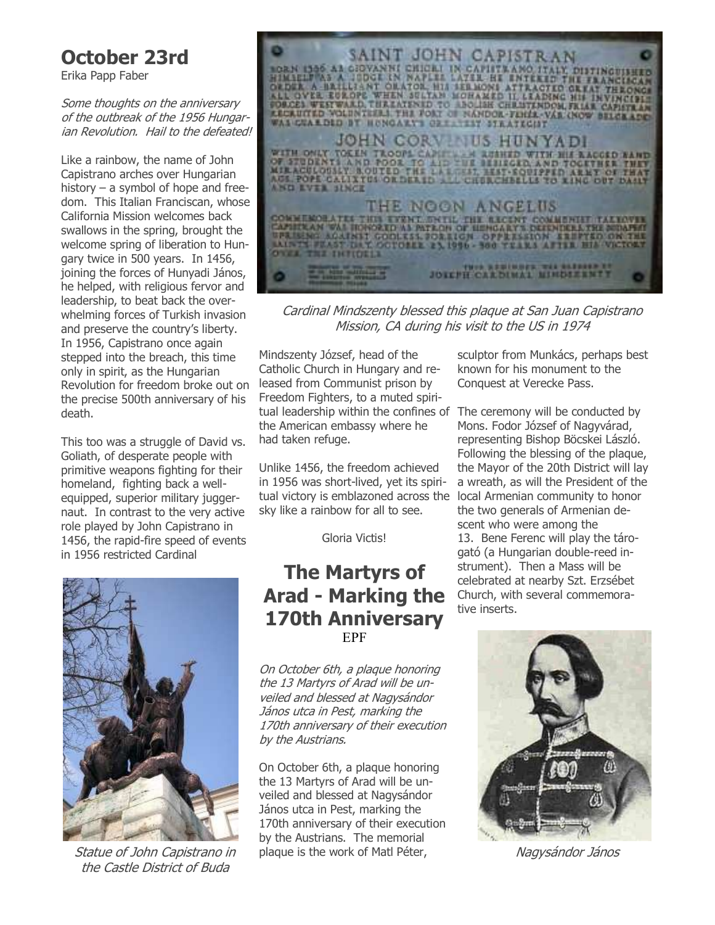# October 23rd

Erika Papp Faber

Some thoughts on the anniversary of the outbreak of the 1956 Hungarian Revolution. Hail to the defeated!

Like a rainbow, the name of John Capistrano arches over Hungarian history – a symbol of hope and freedom. This Italian Franciscan, whose California Mission welcomes back swallows in the spring, brought the welcome spring of liberation to Hungary twice in 500 years. In 1456, joining the forces of Hunyadi János, he helped, with religious fervor and leadership, to beat back the overwhelming forces of Turkish invasion and preserve the country's liberty. In 1956, Capistrano once again stepped into the breach, this time only in spirit, as the Hungarian Revolution for freedom broke out on the precise 500th anniversary of his death.

This too was a struggle of David vs. Goliath, of desperate people with primitive weapons fighting for their homeland, fighting back a wellequipped, superior military juggernaut. In contrast to the very active role played by John Capistrano in 1456, the rapid-fire speed of events in 1956 restricted Cardinal



Statue of John Capistrano in the Castle District of Buda



Cardinal Mindszenty blessed this plaque at San Juan Capistrano Mission, CA during his visit to the US in 1974

Mindszenty József, head of the Catholic Church in Hungary and released from Communist prison by Freedom Fighters, to a muted spiritual leadership within the confines of The ceremony will be conducted by the American embassy where he had taken refuge.

Unlike 1456, the freedom achieved in 1956 was short-lived, yet its spiritual victory is emblazoned across the sky like a rainbow for all to see.

Gloria Victis!

#### The Martyrs of Arad - Marking the 170th Anniversary EPF

On October 6th, a plaque honoring the 13 Martyrs of Arad will be unveiled and blessed at Nagysándor János utca in Pest, marking the 170th anniversary of their execution by the Austrians.

On October 6th, a plaque honoring the 13 Martyrs of Arad will be unveiled and blessed at Nagysándor János utca in Pest, marking the 170th anniversary of their execution by the Austrians. The memorial plaque is the work of Matl Péter,

sculptor from Munkács, perhaps best known for his monument to the Conquest at Verecke Pass.

Mons. Fodor József of Nagyvárad, representing Bishop Böcskei László. Following the blessing of the plaque, the Mayor of the 20th District will lay a wreath, as will the President of the local Armenian community to honor the two generals of Armenian descent who were among the 13. Bene Ferenc will play the tárogató (a Hungarian double-reed instrument). Then a Mass will be celebrated at nearby Szt. Erzsébet Church, with several commemorative inserts.



Nagysándor János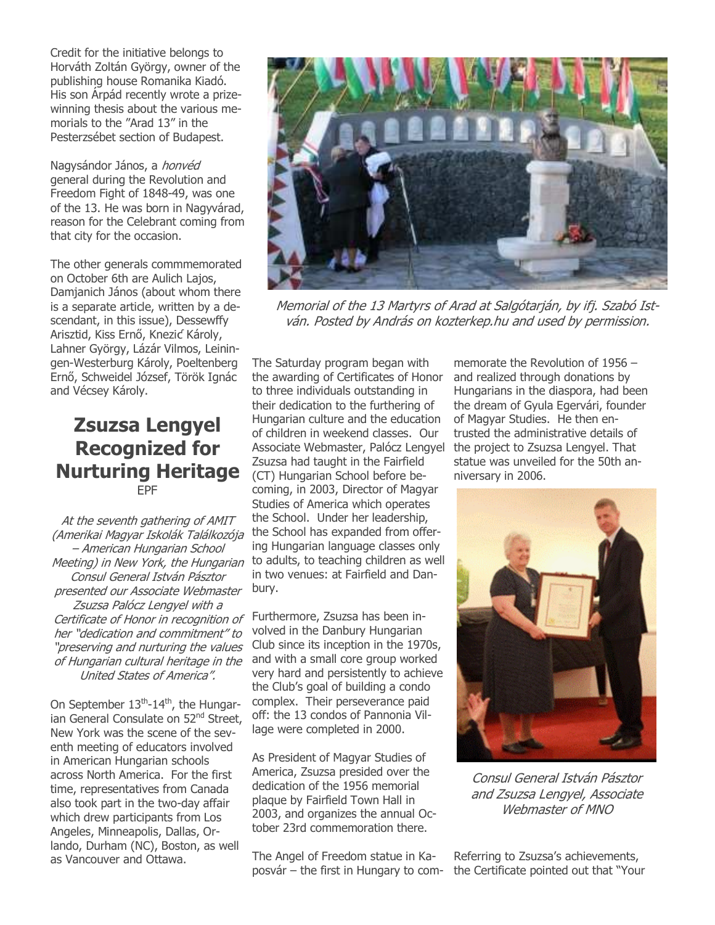Credit for the initiative belongs to Horváth Zoltán György, owner of the publishing house Romanika Kiadó. His son Árpád recently wrote a prizewinning thesis about the various memorials to the "Arad 13" in the Pesterzsébet section of Budapest.

Nagysándor János, a honvéd general during the Revolution and Freedom Fight of 1848-49, was one of the 13. He was born in Nagyvárad, reason for the Celebrant coming from that city for the occasion.

The other generals commmemorated on October 6th are Aulich Lajos, Damjanich János (about whom there is a separate article, written by a descendant, in this issue), Dessewffy Arisztid, Kiss Ernő, Knezić Károly, Lahner György, Lázár Vilmos, Leiningen-Westerburg Károly, Poeltenberg Ernő, Schweidel József, Török Ignác and Vécsey Károly.

#### Zsuzsa Lengyel Recognized for Nurturing Heritage EPF

At the seventh gathering of AMIT (Amerikai Magyar Iskolák Találkozója – American Hungarian School Meeting) in New York, the Hungarian Consul General István Pásztor presented our Associate Webmaster Zsuzsa Palócz Lengyel with a Certificate of Honor in recognition of her "dedication and commitment" to "preserving and nurturing the values of Hungarian cultural heritage in the United States of America".

On September 13<sup>th</sup>-14<sup>th</sup>, the Hungarian General Consulate on 52<sup>nd</sup> Street, New York was the scene of the seventh meeting of educators involved in American Hungarian schools across North America. For the first time, representatives from Canada also took part in the two-day affair which drew participants from Los Angeles, Minneapolis, Dallas, Orlando, Durham (NC), Boston, as well as Vancouver and Ottawa.



Memorial of the 13 Martyrs of Arad at Salgótarján, by ifj. Szabó István. Posted by András on kozterkep.hu and used by permission.

The Saturday program began with the awarding of Certificates of Honor to three individuals outstanding in their dedication to the furthering of Hungarian culture and the education of children in weekend classes. Our Associate Webmaster, Palócz Lengyel Zsuzsa had taught in the Fairfield (CT) Hungarian School before becoming, in 2003, Director of Magyar Studies of America which operates the School. Under her leadership, the School has expanded from offering Hungarian language classes only to adults, to teaching children as well in two venues: at Fairfield and Danbury.

Furthermore, Zsuzsa has been involved in the Danbury Hungarian Club since its inception in the 1970s, and with a small core group worked very hard and persistently to achieve the Club's goal of building a condo complex. Their perseverance paid off: the 13 condos of Pannonia Village were completed in 2000.

As President of Magyar Studies of America, Zsuzsa presided over the dedication of the 1956 memorial plaque by Fairfield Town Hall in 2003, and organizes the annual October 23rd commemoration there.

The Angel of Freedom statue in Kaposvár – the first in Hungary to com-

memorate the Revolution of 1956 – and realized through donations by Hungarians in the diaspora, had been the dream of Gyula Egervári, founder of Magyar Studies. He then entrusted the administrative details of the project to Zsuzsa Lengyel. That statue was unveiled for the 50th anniversary in 2006.



Consul General István Pásztor and Zsuzsa Lengyel, Associate Webmaster of MNO

Referring to Zsuzsa's achievements, the Certificate pointed out that "Your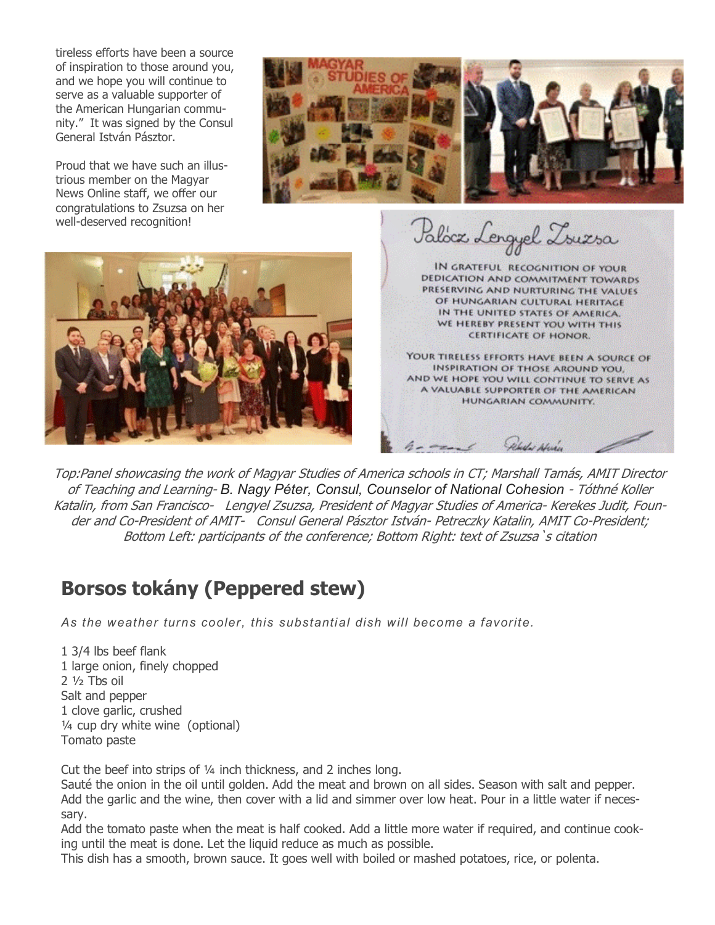tireless efforts have been a source of inspiration to those around you, and we hope you will continue to serve as a valuable supporter of the American Hungarian community." It was signed by the Consul General István Pásztor.

Proud that we have such an illustrious member on the Magyar News Online staff, we offer our congratulations to Zsuzsa on her well-deserved recognition!





Paloca Lengyel Zouesa

IN GRATEFUL RECOGNITION OF YOUR DEDICATION AND COMMITMENT TOWARDS PRESERVING AND NURTURING THE VALUES OF HUNGARIAN CULTURAL HERITAGE IN THE UNITED STATES OF AMERICA. WE HEREBY PRESENT YOU WITH THIS **CERTIFICATE OF HONOR.** 

YOUR TIRELESS EFFORTS HAVE BEEN A SOURCE OF INSPIRATION OF THOSE AROUND YOU, AND WE HOPE YOU WILL CONTINUE TO SERVE AS A VALUABLE SUPPORTER OF THE AMERICAN HUNGARIAN COMMUNITY.

Top:Panel showcasing the work of Magyar Studies of America schools in CT; Marshall Tamás, AMIT Director of Teaching and Learning- B. Nagy Péter, Consul, Counselor of National Cohesion - Tóthné Koller Katalin, from San Francisco- Lengyel Zsuzsa, President of Magyar Studies of America- Kerekes Judit, Founder and Co-President of AMIT- Consul General Pásztor István- Petreczky Katalin, AMIT Co-President; Bottom Left: participants of the conference; Bottom Right: text of Zsuzsa`s citation

## Borsos tokány (Peppered stew)

As the weather turns cooler, this substantial dish will become a favorite.

1 3/4 lbs beef flank 1 large onion, finely chopped 2 ½ Tbs oil Salt and pepper 1 clove garlic, crushed ¼ cup dry white wine (optional) Tomato paste

Cut the beef into strips of ¼ inch thickness, and 2 inches long.

Sauté the onion in the oil until golden. Add the meat and brown on all sides. Season with salt and pepper. Add the garlic and the wine, then cover with a lid and simmer over low heat. Pour in a little water if necessary.

Add the tomato paste when the meat is half cooked. Add a little more water if required, and continue cooking until the meat is done. Let the liquid reduce as much as possible.

This dish has a smooth, brown sauce. It goes well with boiled or mashed potatoes, rice, or polenta.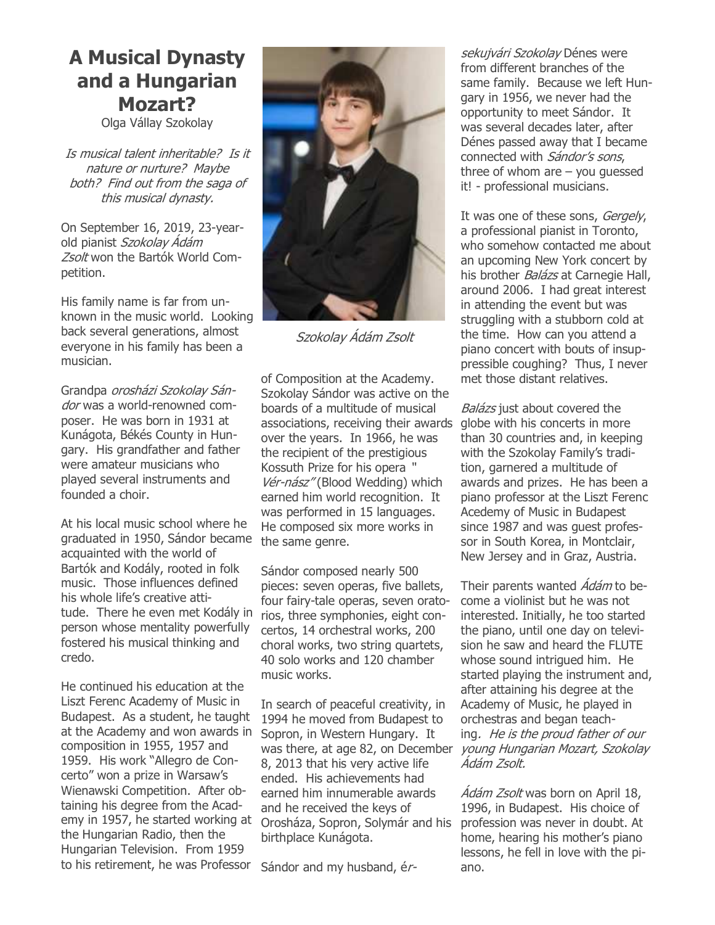#### A Musical Dynasty and a Hungarian Mozart?

Olga Vállay Szokolay

Is musical talent inheritable? Is it nature or nurture? Maybe both? Find out from the saga of this musical dynasty.

On September 16, 2019, 23-yearold pianist Szokolay Ádám Zsolt won the Bartók World Competition.

His family name is far from unknown in the music world. Looking back several generations, almost everyone in his family has been a musician.

Grandpa orosházi Szokolay Sándor was a world-renowned composer. He was born in 1931 at Kunágota, Békés County in Hungary. His grandfather and father were amateur musicians who played several instruments and founded a choir.

At his local music school where he graduated in 1950, Sándor became acquainted with the world of Bartók and Kodály, rooted in folk music. Those influences defined his whole life's creative attitude. There he even met Kodály in person whose mentality powerfully fostered his musical thinking and credo.

He continued his education at the Liszt Ferenc Academy of Music in Budapest. As a student, he taught at the Academy and won awards in Sopron, in Western Hungary. It composition in 1955, 1957 and 1959. His work "Allegro de Concerto" won a prize in Warsaw's Wienawski Competition. After obtaining his degree from the Academy in 1957, he started working at the Hungarian Radio, then the Hungarian Television. From 1959 to his retirement, he was Professor



Szokolay Ádám Zsolt

of Composition at the Academy. Szokolay Sándor was active on the boards of a multitude of musical associations, receiving their awards over the years. In 1966, he was the recipient of the prestigious Kossuth Prize for his opera " Vér-nász" (Blood Wedding) which earned him world recognition. It was performed in 15 languages. He composed six more works in the same genre.

Sándor composed nearly 500 pieces: seven operas, five ballets, four fairy-tale operas, seven oratorios, three symphonies, eight concertos, 14 orchestral works, 200 choral works, two string quartets, 40 solo works and 120 chamber music works.

In search of peaceful creativity, in 1994 he moved from Budapest to was there, at age 82, on December 8, 2013 that his very active life ended. His achievements had earned him innumerable awards and he received the keys of Orosháza, Sopron, Solymár and his birthplace Kunágota.

Sándor and my husband, ér-

sekujvári Szokolav Dénes were from different branches of the same family. Because we left Hungary in 1956, we never had the opportunity to meet Sándor. It was several decades later, after Dénes passed away that I became connected with Sándor's sons, three of whom are  $-$  you guessed it! - professional musicians.

It was one of these sons, Gergely, a professional pianist in Toronto, who somehow contacted me about an upcoming New York concert by his brother *Balázs* at Carnegie Hall, around 2006. I had great interest in attending the event but was struggling with a stubborn cold at the time. How can you attend a piano concert with bouts of insuppressible coughing? Thus, I never met those distant relatives.

Balázs just about covered the globe with his concerts in more than 30 countries and, in keeping with the Szokolay Family's tradition, garnered a multitude of awards and prizes. He has been a piano professor at the Liszt Ferenc Acedemy of Music in Budapest since 1987 and was guest professor in South Korea, in Montclair, New Jersey and in Graz, Austria.

Their parents wanted *Ádám* to become a violinist but he was not interested. Initially, he too started the piano, until one day on television he saw and heard the FLUTE whose sound intrigued him. He started playing the instrument and, after attaining his degree at the Academy of Music, he played in orchestras and began teaching. He is the proud father of our young Hungarian Mozart, Szokolay Ádám Zsolt.

Ádám Zsolt was born on April 18, 1996, in Budapest. His choice of profession was never in doubt. At home, hearing his mother's piano lessons, he fell in love with the piano.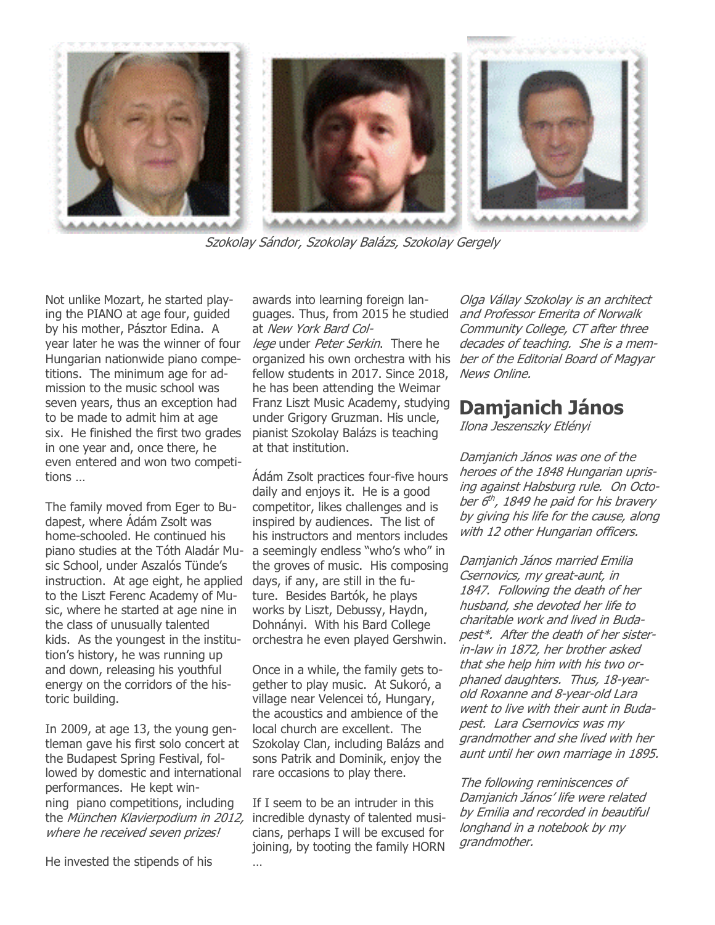

Szokolay Sándor, Szokolay Balázs, Szokolay Gergely

Not unlike Mozart, he started playing the PIANO at age four, guided by his mother, Pásztor Edina. A year later he was the winner of four Hungarian nationwide piano competitions. The minimum age for admission to the music school was seven years, thus an exception had to be made to admit him at age six. He finished the first two grades in one year and, once there, he even entered and won two competitions …

The family moved from Eger to Budapest, where Ádám Zsolt was home-schooled. He continued his sic School, under Aszalós Tünde's instruction. At age eight, he applied to the Liszt Ferenc Academy of Music, where he started at age nine in the class of unusually talented kids. As the youngest in the institution's history, he was running up and down, releasing his youthful energy on the corridors of the historic building.

In 2009, at age 13, the young gentleman gave his first solo concert at the Budapest Spring Festival, followed by domestic and international performances. He kept winning piano competitions, including the *München Klavierpodium in 2012,* incredible dynasty of talented musiwhere he received seven prizes!

He invested the stipends of his

awards into learning foreign languages. Thus, from 2015 he studied at New York Bard College under Peter Serkin. There he fellow students in 2017. Since 2018, he has been attending the Weimar Franz Liszt Music Academy, studying under Grigory Gruzman. His uncle, pianist Szokolay Balázs is teaching at that institution.

piano studies at the Tóth Aladár Mu-a seemingly endless "who's who" in Ádám Zsolt practices four-five hours daily and enjoys it. He is a good competitor, likes challenges and is inspired by audiences. The list of his instructors and mentors includes the groves of music. His composing days, if any, are still in the future. Besides Bartók, he plays works by Liszt, Debussy, Haydn, Dohnányi. With his Bard College orchestra he even played Gershwin.

> Once in a while, the family gets together to play music. At Sukoró, a village near Velencei tó, Hungary, the acoustics and ambience of the local church are excellent. The Szokolay Clan, including Balázs and sons Patrik and Dominik, enjoy the rare occasions to play there.

If I seem to be an intruder in this cians, perhaps I will be excused for joining, by tooting the family HORN

…

organized his own orchestra with his *ber of the Editorial Board of Magyar* Olga Vállay Szokolay is an architect and Professor Emerita of Norwalk Community College, CT after three decades of teaching. She is a mem-News Online.

#### Damjanich János

Ilona Jeszenszky Etlényi

Damjanich János was one of the heroes of the 1848 Hungarian uprising against Habsburg rule. On October 6th, 1849 he paid for his bravery by giving his life for the cause, along with 12 other Hungarian officers.

Damjanich János married Emilia Csernovics, my great-aunt, in 1847. Following the death of her husband, she devoted her life to charitable work and lived in Budapest\*. After the death of her sisterin-law in 1872, her brother asked that she help him with his two orphaned daughters. Thus, 18-yearold Roxanne and 8-year-old Lara went to live with their aunt in Budapest. Lara Csernovics was my grandmother and she lived with her aunt until her own marriage in 1895.

The following reminiscences of Damjanich János' life were related by Emilia and recorded in beautiful longhand in a notebook by my grandmother.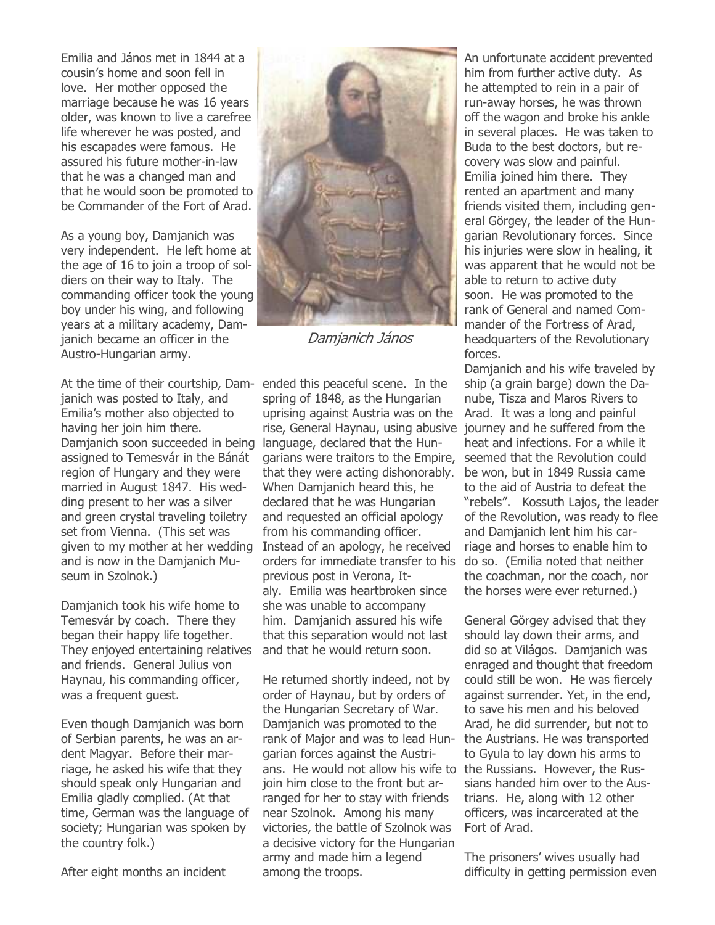Emilia and János met in 1844 at a cousin's home and soon fell in love. Her mother opposed the marriage because he was 16 years older, was known to live a carefree life wherever he was posted, and his escapades were famous. He assured his future mother-in-law that he was a changed man and that he would soon be promoted to be Commander of the Fort of Arad.

As a young boy, Damjanich was very independent. He left home at the age of 16 to join a troop of soldiers on their way to Italy. The commanding officer took the young boy under his wing, and following years at a military academy, Damjanich became an officer in the Austro-Hungarian army.

At the time of their courtship, Dam-ended this peaceful scene. In the janich was posted to Italy, and Emilia's mother also objected to having her join him there. Damjanich soon succeeded in being assigned to Temesvár in the Bánát region of Hungary and they were married in August 1847. His wedding present to her was a silver and green crystal traveling toiletry set from Vienna. (This set was given to my mother at her wedding and is now in the Damjanich Museum in Szolnok.)

Damjanich took his wife home to Temesvár by coach. There they began their happy life together. They enjoyed entertaining relatives and friends. General Julius von Haynau, his commanding officer, was a frequent guest.

Even though Damjanich was born of Serbian parents, he was an ardent Magyar. Before their marriage, he asked his wife that they should speak only Hungarian and Emilia gladly complied. (At that time, German was the language of society; Hungarian was spoken by the country folk.)

After eight months an incident



Damjanich János

spring of 1848, as the Hungarian uprising against Austria was on the rise, General Haynau, using abusive language, declared that the Hungarians were traitors to the Empire, that they were acting dishonorably. When Damjanich heard this, he declared that he was Hungarian and requested an official apology from his commanding officer. Instead of an apology, he received orders for immediate transfer to his previous post in Verona, Italy. Emilia was heartbroken since she was unable to accompany him. Damjanich assured his wife that this separation would not last and that he would return soon.

He returned shortly indeed, not by order of Haynau, but by orders of the Hungarian Secretary of War. Damjanich was promoted to the rank of Major and was to lead Hungarian forces against the Austrians. He would not allow his wife to the Russians. However, the Rusjoin him close to the front but arranged for her to stay with friends near Szolnok. Among his many victories, the battle of Szolnok was a decisive victory for the Hungarian army and made him a legend among the troops.

An unfortunate accident prevented him from further active duty. As he attempted to rein in a pair of run-away horses, he was thrown off the wagon and broke his ankle in several places. He was taken to Buda to the best doctors, but recovery was slow and painful. Emilia joined him there. They rented an apartment and many friends visited them, including general Görgey, the leader of the Hungarian Revolutionary forces. Since his injuries were slow in healing, it was apparent that he would not be able to return to active duty soon. He was promoted to the rank of General and named Commander of the Fortress of Arad, headquarters of the Revolutionary forces.

Damjanich and his wife traveled by ship (a grain barge) down the Danube, Tisza and Maros Rivers to Arad. It was a long and painful journey and he suffered from the heat and infections. For a while it seemed that the Revolution could be won, but in 1849 Russia came to the aid of Austria to defeat the "rebels". Kossuth Lajos, the leader of the Revolution, was ready to flee and Damjanich lent him his carriage and horses to enable him to do so. (Emilia noted that neither the coachman, nor the coach, nor the horses were ever returned.)

General Görgey advised that they should lay down their arms, and did so at Világos. Damjanich was enraged and thought that freedom could still be won. He was fiercely against surrender. Yet, in the end, to save his men and his beloved Arad, he did surrender, but not to the Austrians. He was transported to Gyula to lay down his arms to sians handed him over to the Austrians. He, along with 12 other officers, was incarcerated at the Fort of Arad.

The prisoners' wives usually had difficulty in getting permission even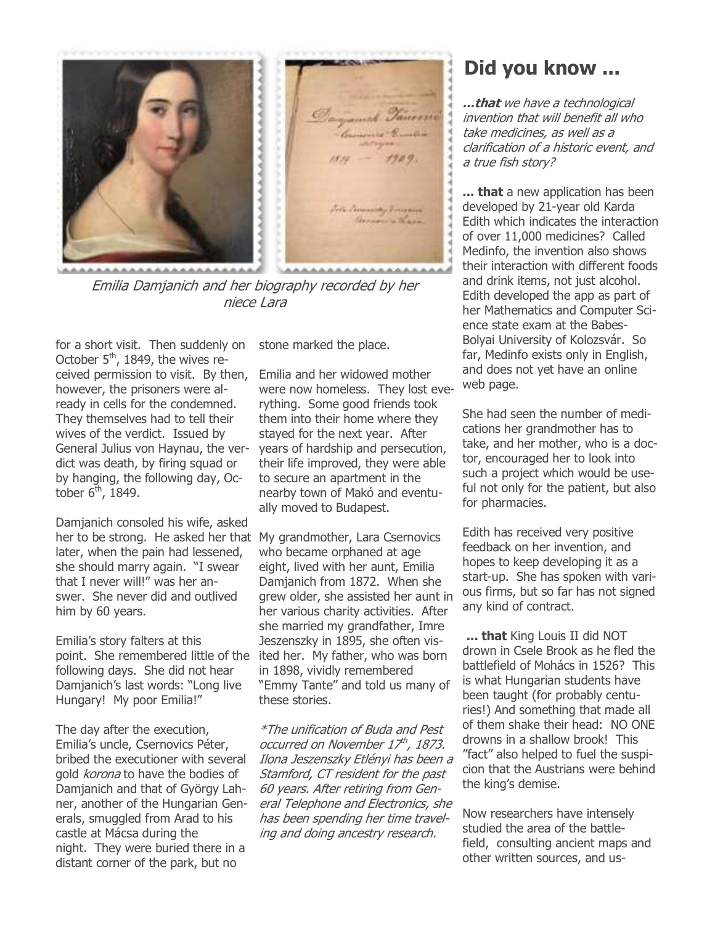

Emilia Damjanich and her biography recorded by her niece Lara

for a short visit. Then suddenly on October  $5<sup>th</sup>$ , 1849, the wives received permission to visit. By then, however, the prisoners were already in cells for the condemned. They themselves had to tell their wives of the verdict. Issued by General Julius von Haynau, the verdict was death, by firing squad or by hanging, the following day, October  $6<sup>th</sup>$ , 1849.

Damjanich consoled his wife, asked her to be strong. He asked her that My grandmother, Lara Csernovics later, when the pain had lessened, she should marry again. "I swear that I never will!" was her answer. She never did and outlived him by 60 years.

Emilia's story falters at this point. She remembered little of the ited her. My father, who was born following days. She did not hear Damjanich's last words: "Long live Hungary! My poor Emilia!"

The day after the execution, Emilia's uncle, Csernovics Péter, bribed the executioner with several gold *korona* to have the bodies of Damjanich and that of György Lahner, another of the Hungarian Generals, smuggled from Arad to his castle at Mácsa during the night. They were buried there in a distant corner of the park, but no

stone marked the place.

Emilia and her widowed mother were now homeless. They lost everything. Some good friends took them into their home where they stayed for the next year. After years of hardship and persecution, their life improved, they were able to secure an apartment in the nearby town of Makó and eventually moved to Budapest.

who became orphaned at age eight, lived with her aunt, Emilia Damjanich from 1872. When she grew older, she assisted her aunt in her various charity activities. After she married my grandfather, Imre Jeszenszky in 1895, she often visin 1898, vividly remembered "Emmy Tante" and told us many of these stories.

\*The unification of Buda and Pest occurred on November 17<sup>th</sup>, 1873. Ilona Jeszenszky Etlényi has been a Stamford, CT resident for the past 60 years. After retiring from General Telephone and Electronics, she has been spending her time traveling and doing ancestry research.

### Did you know ...

...that we have a technological invention that will benefit all who take medicines, as well as a clarification of a historic event, and a true fish story?

... that a new application has been developed by 21-year old Karda Edith which indicates the interaction of over 11,000 medicines? Called Medinfo, the invention also shows their interaction with different foods and drink items, not just alcohol. Edith developed the app as part of her Mathematics and Computer Science state exam at the Babes-Bolyai University of Kolozsvár. So far, Medinfo exists only in English, and does not yet have an online web page.

She had seen the number of medications her grandmother has to take, and her mother, who is a doctor, encouraged her to look into such a project which would be useful not only for the patient, but also for pharmacies.

Edith has received very positive feedback on her invention, and hopes to keep developing it as a start-up. She has spoken with various firms, but so far has not signed any kind of contract.

... that King Louis II did NOT drown in Csele Brook as he fled the battlefield of Mohács in 1526? This is what Hungarian students have been taught (for probably centuries!) And something that made all of them shake their head: NO ONE drowns in a shallow brook! This "fact" also helped to fuel the suspicion that the Austrians were behind the king's demise.

Now researchers have intensely studied the area of the battlefield, consulting ancient maps and other written sources, and us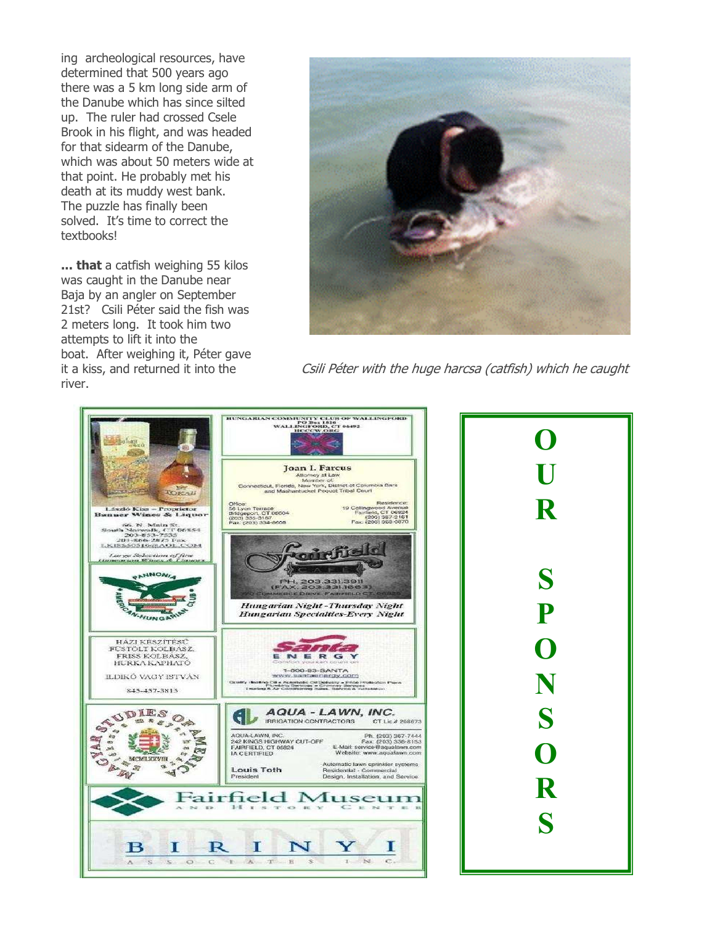ing archeological resources, have determined that 500 years ago there was a 5 km long side arm of the Danube which has since silted up. The ruler had crossed Csele Brook in his flight, and was headed for that sidearm of the Danube, which was about 50 meters wide at that point. He probably met his death at its muddy west bank. The puzzle has finally been solved. It's time to correct the textbooks!

... that a catfish weighing 55 kilos was caught in the Danube near Baja by an angler on September 21st? Csili Péter said the fish was 2 meters long. It took him two attempts to lift it into the boat. After weighing it, Péter gave it a kiss, and returned it into the river.



Csili Péter with the huge harcsa (catfish) which he caught



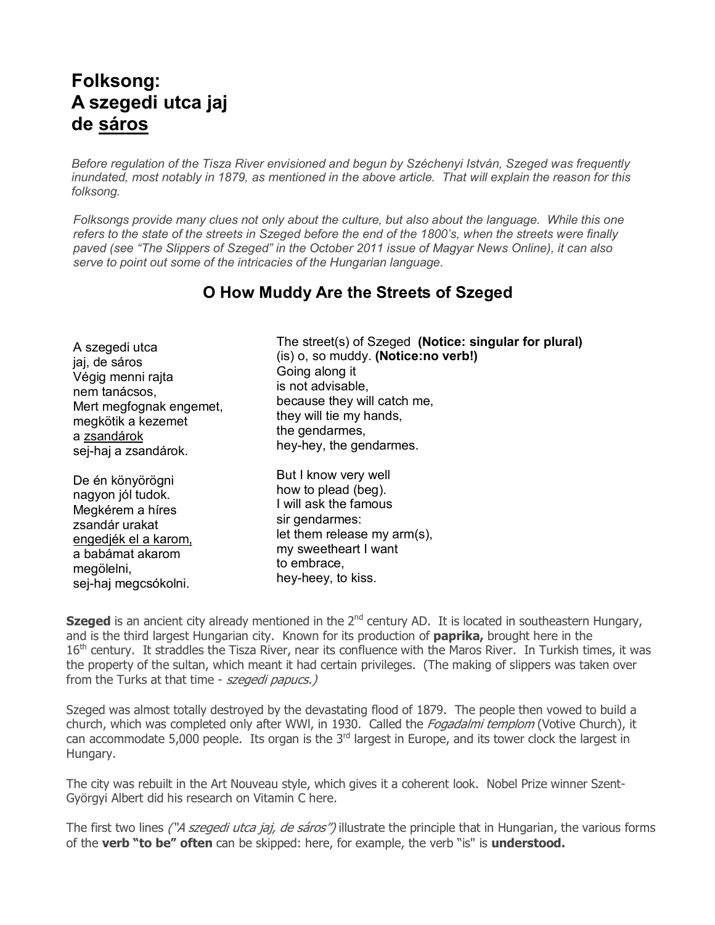## Folksong: A szegedi utca jaj de sáros

Before regulation of the Tisza River envisioned and begun by Széchenyi István, Szeged was frequently inundated, most notably in 1879, as mentioned in the above article. That will explain the reason for this folksong.

Folksongs provide many clues not only about the culture, but also about the language. While this one refers to the state of the streets in Szeged before the end of the 1800's, when the streets were finally paved (see "The Slippers of Szeged" in the October 2011 issue of Magyar News Online), it can also serve to point out some of the intricacies of the Hungarian language.

#### O How Muddy Are the Streets of Szeged

A szegedi utca jaj, de sáros Végig menni rajta nem tanácsos, Mert megfognak engemet, megkötik a kezemet a zsandárok sej-haj a zsandárok.

De én könyörögni nagyon jól tudok. Megkérem a híres zsandár urakat engedjék el a karom, a babámat akarom megölelni, sej-haj megcsókolni.

The street(s) of Szeged (Notice: singular for plural) (is) o, so muddy. (Notice:no verb!) Going along it is not advisable, because they will catch me, they will tie my hands, the gendarmes, hey-hey, the gendarmes.

But I know very well how to plead (beg). I will ask the famous sir gendarmes: let them release my arm(s), my sweetheart I want to embrace, hey-heey, to kiss.

Szeged is an ancient city already mentioned in the 2<sup>nd</sup> century AD. It is located in southeastern Hungary, and is the third largest Hungarian city. Known for its production of **paprika**, brought here in the 16<sup>th</sup> century. It straddles the Tisza River, near its confluence with the Maros River. In Turkish times, it was the property of the sultan, which meant it had certain privileges. (The making of slippers was taken over from the Turks at that time - szegedi papucs.)

Szeged was almost totally destroyed by the devastating flood of 1879. The people then vowed to build a church, which was completed only after WWI, in 1930. Called the *Fogadalmi templom* (Votive Church), it can accommodate 5,000 people. Its organ is the 3<sup>rd</sup> largest in Europe, and its tower clock the largest in Hungary.

The city was rebuilt in the Art Nouveau style, which gives it a coherent look. Nobel Prize winner Szent-Györgyi Albert did his research on Vitamin C here.

The first two lines ("A szegedi utca jaj, de sáros") illustrate the principle that in Hungarian, the various forms of the verb "to be" often can be skipped: here, for example, the verb "is" is understood.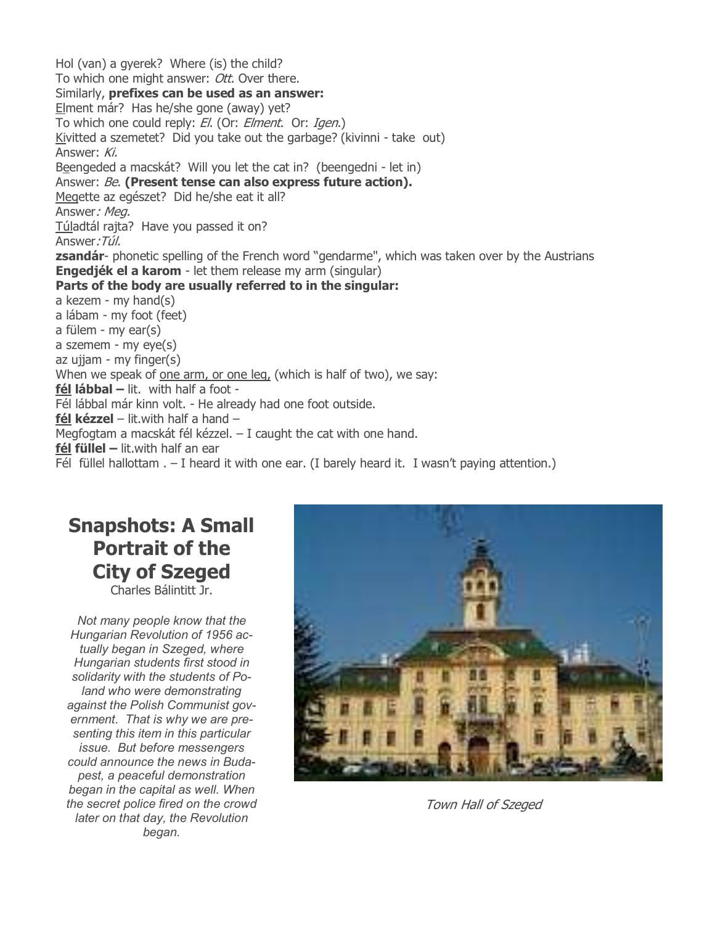Hol (van) a gyerek? Where (is) the child? To which one might answer: Ott. Over there. Similarly, prefixes can be used as an answer: Elment már? Has he/she gone (away) yet? To which one could reply: El. (Or: Elment. Or: Igen.) Kivitted a szemetet? Did you take out the garbage? (kivinni - take out) Answer: Ki. Beengeded a macskát? Will you let the cat in? (beengedni - let in) Answer: Be. (Present tense can also express future action). Megette az egészet? Did he/she eat it all? Answer: Meg. Túladtál rajta? Have you passed it on? Answer:Túl. **zsandár**- phonetic spelling of the French word "gendarme", which was taken over by the Austrians Engedjék el a karom - let them release my arm (singular) Parts of the body are usually referred to in the singular: a kezem - my hand(s) a lábam - my foot (feet) a fülem - my ear(s) a szemem - my eye(s) az ujjam - my finger(s) When we speak of one arm, or one leg, (which is half of two), we say: fél lábbal – lit. with half a foot -Fél lábbal már kinn volt. - He already had one foot outside. fél kézzel – lit.with half a hand – Megfogtam a macskát fél kézzel. – I caught the cat with one hand. fél füllel  $-$  lit.with half an ear Fél füllel hallottam  $. - I$  heard it with one ear. (I barely heard it. I wasn't paying attention.)

# Snapshots: A Small Portrait of the City of Szeged

Charles Bálintitt Jr.

Not many people know that the Hungarian Revolution of 1956 actually began in Szeged, where Hungarian students first stood in solidarity with the students of Poland who were demonstrating against the Polish Communist government. That is why we are presenting this item in this particular issue. But before messengers could announce the news in Budapest, a peaceful demonstration began in the capital as well. When the secret police fired on the crowd later on that day, the Revolution began.



Town Hall of Szeged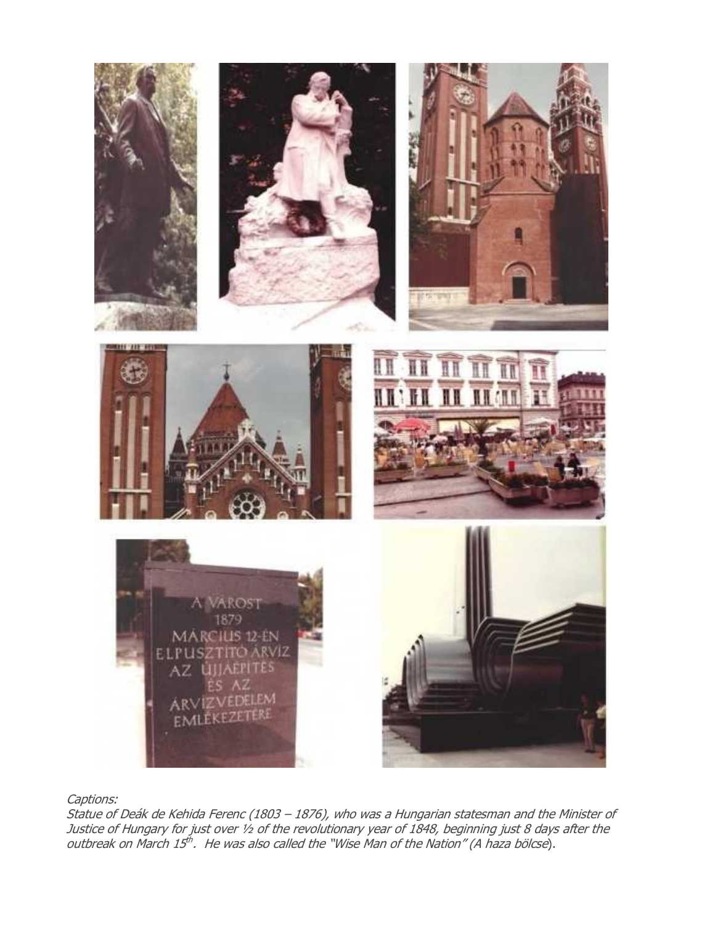

Captions:

Statue of Deák de Kehida Ferenc (1803 – 1876), who was a Hungarian statesman and the Minister of Justice of Hungary for just over ½ of the revolutionary year of 1848, beginning just 8 days after the outbreak on March 15<sup>th</sup>. He was also called the "Wise Man of the Nation" (A haza bölcse).